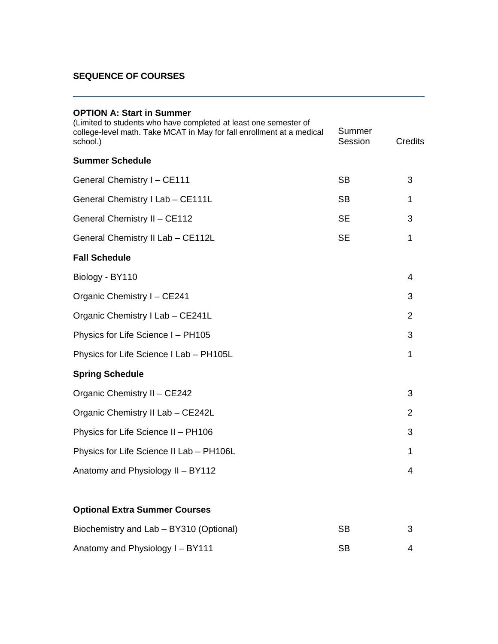| <b>OPTION A: Start in Summer</b> |
|----------------------------------|
|----------------------------------|

| (Limited to students who have completed at least one semester of<br>college-level math. Take MCAT in May for fall enrollment at a medical<br>school.) | Summer<br>Session | <b>Credits</b> |
|-------------------------------------------------------------------------------------------------------------------------------------------------------|-------------------|----------------|
| <b>Summer Schedule</b>                                                                                                                                |                   |                |
| <b>General Chemistry I - CE111</b>                                                                                                                    | <b>SB</b>         | 3              |
| General Chemistry I Lab - CE111L                                                                                                                      | <b>SB</b>         | 1              |
| General Chemistry II - CE112                                                                                                                          | <b>SE</b>         | 3              |
| General Chemistry II Lab - CE112L                                                                                                                     | <b>SE</b>         | $\mathbf{1}$   |
| <b>Fall Schedule</b>                                                                                                                                  |                   |                |
| Biology - BY110                                                                                                                                       |                   | 4              |
| Organic Chemistry I - CE241                                                                                                                           |                   | 3              |
| Organic Chemistry I Lab - CE241L                                                                                                                      |                   | $\overline{2}$ |
| Physics for Life Science I - PH105                                                                                                                    |                   | 3              |
| Physics for Life Science I Lab - PH105L                                                                                                               |                   | 1              |
| <b>Spring Schedule</b>                                                                                                                                |                   |                |
| Organic Chemistry II - CE242                                                                                                                          |                   | 3              |
| Organic Chemistry II Lab - CE242L                                                                                                                     |                   | $\overline{2}$ |
| Physics for Life Science II - PH106                                                                                                                   |                   | 3              |
| Physics for Life Science II Lab - PH106L                                                                                                              |                   | 1              |
| Anatomy and Physiology II - BY112                                                                                                                     |                   | 4              |
|                                                                                                                                                       |                   |                |

## **Optional Extra Summer Courses**

| Biochemistry and Lab – BY310 (Optional) | SВ        |  |
|-----------------------------------------|-----------|--|
| Anatomy and Physiology I - BY111        | <b>SB</b> |  |